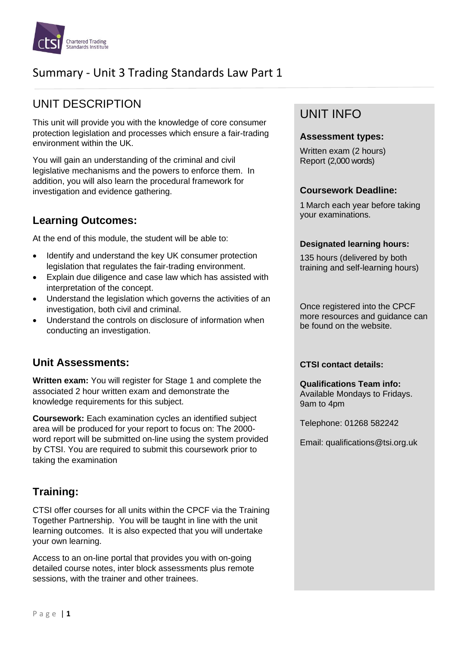

# Summary - Unit 3 Trading Standards Law Part 1

# UNIT DESCRIPTION

This unit will provide you with the knowledge of core consumer protection legislation and processes which ensure a fair-trading environment within the UK.

You will gain an understanding of the criminal and civil legislative mechanisms and the powers to enforce them. In addition, you will also learn the procedural framework for investigation and evidence gathering.

### **Learning Outcomes:**

At the end of this module, the student will be able to:

- Identify and understand the key UK consumer protection legislation that regulates the fair-trading environment.
- Explain due diligence and case law which has assisted with interpretation of the concept.
- Understand the legislation which governs the activities of an investigation, both civil and criminal.
- Understand the controls on disclosure of information when conducting an investigation.

## **Unit Assessments:**

**Written exam:** You will register for Stage 1 and complete the associated 2 hour written exam and demonstrate the knowledge requirements for this subject.

**Coursework:** Each examination cycles an identified subject area will be produced for your report to focus on: The 2000 word report will be submitted on-line using the system provided by CTSI. You are required to submit this coursework prior to taking the examination

## **Training:**

CTSI offer courses for all units within the CPCF via the Training Together Partnership. You will be taught in line with the unit learning outcomes. It is also expected that you will undertake your own learning.

Access to an on-line portal that provides you with on-going detailed course notes, inter block assessments plus remote sessions, with the trainer and other trainees.

## UNIT INFO

#### **Assessment types:**

Written exam (2 hours) Report (2,000 words)

#### **Coursework Deadline:**

1 March each year before taking your examinations.

#### **Designated learning hours:**

135 hours (delivered by both training and self-learning hours)

Once registered into the CPCF more resources and guidance can be found on the website.

#### **CTSI contact details:**

**Qualifications Team info:** Available Mondays to Fridays. 9am to 4pm

Telephone: 01268 582242

Email: qualifications@tsi.org.uk